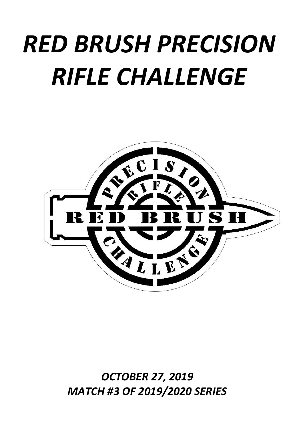# *RED BRUSH PRECISION RIFLE CHALLENGE*



*OCTOBER 27, 2019 MATCH #3 OF 2019/2020 SERIES*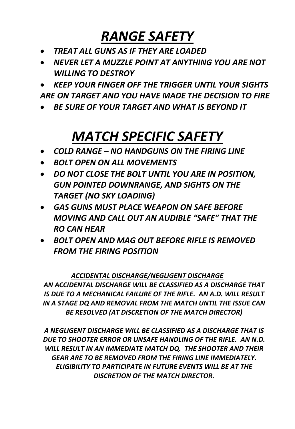## *RANGE SAFETY*

- *TREAT ALL GUNS AS IF THEY ARE LOADED*
- *NEVER LET A MUZZLE POINT AT ANYTHING YOU ARE NOT WILLING TO DESTROY*

• *KEEP YOUR FINGER OFF THE TRIGGER UNTIL YOUR SIGHTS ARE ON TARGET AND YOU HAVE MADE THE DECISION TO FIRE*

• *BE SURE OF YOUR TARGET AND WHAT IS BEYOND IT*

## *MATCH SPECIFIC SAFETY*

- *COLD RANGE – NO HANDGUNS ON THE FIRING LINE*
- *BOLT OPEN ON ALL MOVEMENTS*
- *DO NOT CLOSE THE BOLT UNTIL YOU ARE IN POSITION, GUN POINTED DOWNRANGE, AND SIGHTS ON THE TARGET (NO SKY LOADING)*
- *GAS GUNS MUST PLACE WEAPON ON SAFE BEFORE MOVING AND CALL OUT AN AUDIBLE "SAFE" THAT THE RO CAN HEAR*
- *BOLT OPEN AND MAG OUT BEFORE RIFLE IS REMOVED FROM THE FIRING POSITION*

#### *ACCIDENTAL DISCHARGE/NEGLIGENT DISCHARGE*

*AN ACCIDENTAL DISCHARGE WILL BE CLASSIFIED AS A DISCHARGE THAT IS DUE TO A MECHANICAL FAILURE OF THE RIFLE. AN A.D. WILL RESULT IN A STAGE DQ AND REMOVAL FROM THE MATCH UNTIL THE ISSUE CAN BE RESOLVED (AT DISCRETION OF THE MATCH DIRECTOR)*

*A NEGLIGENT DISCHARGE WILL BE CLASSIFIED AS A DISCHARGE THAT IS DUE TO SHOOTER ERROR OR UNSAFE HANDLING OF THE RIFLE. AN N.D. WILL RESULT IN AN IMMEDIATE MATCH DQ. THE SHOOTER AND THEIR GEAR ARE TO BE REMOVED FROM THE FIRING LINE IMMEDIATELY. ELIGIBILITY TO PARTICIPATE IN FUTURE EVENTS WILL BE AT THE DISCRETION OF THE MATCH DIRECTOR.*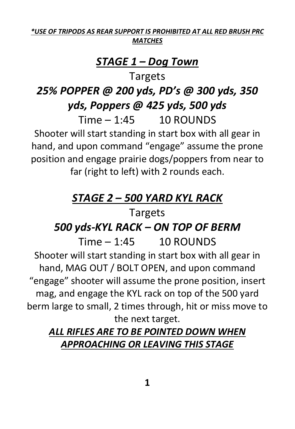#### *\*USE OF TRIPODS AS REAR SUPPORT IS PROHIBITED AT ALL RED BRUSH PRC MATCHES*

#### *STAGE 1 – Dog Town*

Targets

#### *25% POPPER @ 200 yds, PD's @ 300 yds, 350 yds, Poppers @ 425 yds, 500 yds*  $Time - 1:45$  10 ROUNDS

Shooter will start standing in start box with all gear in hand, and upon command "engage" assume the prone position and engage prairie dogs/poppers from near to far (right to left) with 2 rounds each.

### *STAGE 2 – 500 YARD KYL RACK*

#### Targets

#### *500 yds-KYL RACK – ON TOP OF BERM*

 $Time - 1:45 - 10$  ROUNDS Shooter will start standing in start box with all gear in hand, MAG OUT / BOLT OPEN, and upon command "engage" shooter will assume the prone position, insert mag, and engage the KYL rack on top of the 500 yard berm large to small, 2 times through, hit or miss move to the next target.

#### *ALL RIFLES ARE TO BE POINTED DOWN WHEN APPROACHING OR LEAVING THIS STAGE*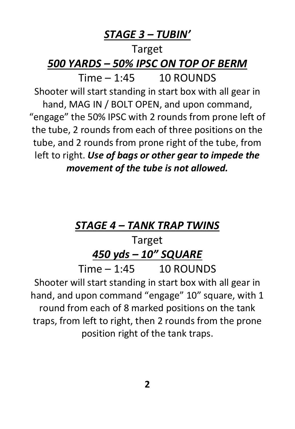#### *STAGE 3 – TUBIN'*

## Target *500 YARDS – 50% IPSC ON TOP OF BERM*  $Time - 1:45 - 10$  ROUNDS Shooter will start standing in start box with all gear in hand, MAG IN / BOLT OPEN, and upon command, "engage" the 50% IPSC with 2 rounds from prone left of the tube, 2 rounds from each of three positions on the tube, and 2 rounds from prone right of the tube, from left to right. *Use of bags or other gear to impede the movement of the tube is not allowed.*

### *STAGE 4 – TANK TRAP TWINS*

#### Target *450 yds – 10" SQUARE*

 $Time - 1:45$  10 ROUNDS

Shooter will start standing in start box with all gear in hand, and upon command "engage" 10" square, with 1 round from each of 8 marked positions on the tank traps, from left to right, then 2 rounds from the prone position right of the tank traps.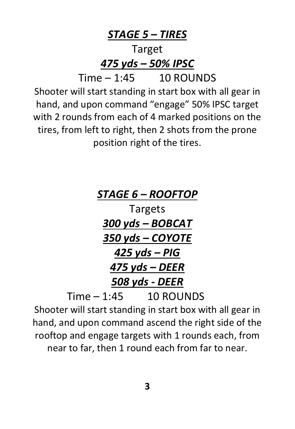*STAGE 5 – TIRES* Target *475 yds – 50% IPSC*  $Time - 1:45 - 10$  ROUNDS Shooter will start standing in start box with all gear in hand, and upon command "engage" 50% IPSC target with 2 rounds from each of 4 marked positions on the tires, from left to right, then 2 shots from the prone position right of the tires.

## *STAGE 6 – ROOFTOP* Targets *300 yds – BOBCAT 350 yds – COYOTE 425 yds – PIG 475 yds – DEER 508 yds - DEER*  $Time - 1:45$  10 ROUNDS

Shooter will start standing in start box with all gear in hand, and upon command ascend the right side of the rooftop and engage targets with 1 rounds each, from near to far, then 1 round each from far to near.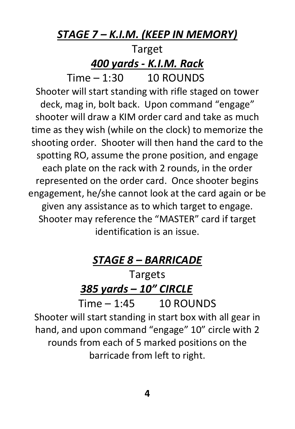#### *STAGE 7 – K.I.M. (KEEP IN MEMORY)*

### Target *400 yards - K.I.M. Rack*

 $Time - 1:30 - 10$  ROUNDS Shooter will start standing with rifle staged on tower deck, mag in, bolt back. Upon command "engage" shooter will draw a KIM order card and take as much time as they wish (while on the clock) to memorize the shooting order. Shooter will then hand the card to the spotting RO, assume the prone position, and engage each plate on the rack with 2 rounds, in the order represented on the order card. Once shooter begins engagement, he/she cannot look at the card again or be given any assistance as to which target to engage. Shooter may reference the "MASTER" card if target identification is an issue.

#### *STAGE 8 – BARRICADE*

## Targets *385 yards – 10" CIRCLE*

 $Time - 1:45$  10 ROUNDS Shooter will start standing in start box with all gear in hand, and upon command "engage" 10" circle with 2 rounds from each of 5 marked positions on the barricade from left to right.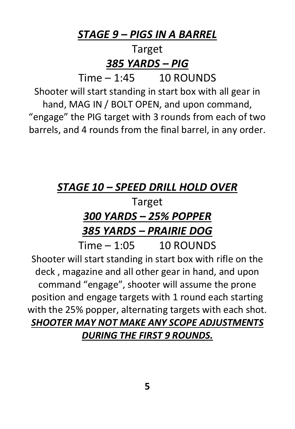#### *STAGE 9 – PIGS IN A BARREL*

#### Target *385 YARDS – PIG*

 $Time - 1.45 - 10$  ROUNDS

Shooter will start standing in start box with all gear in hand, MAG IN / BOLT OPEN, and upon command, "engage" the PIG target with 3 rounds from each of two barrels, and 4 rounds from the final barrel, in any order.

#### *STAGE 10 – SPEED DRILL HOLD OVER*

#### Target *300 YARDS – 25% POPPER 385 YARDS – PRAIRIE DOG*  $Time - 1:05 - 10$  ROUNDS

Shooter will start standing in start box with rifle on the deck , magazine and all other gear in hand, and upon command "engage", shooter will assume the prone position and engage targets with 1 round each starting with the 25% popper, alternating targets with each shot. *SHOOTER MAY NOT MAKE ANY SCOPE ADJUSTMENTS DURING THE FIRST 9 ROUNDS.*